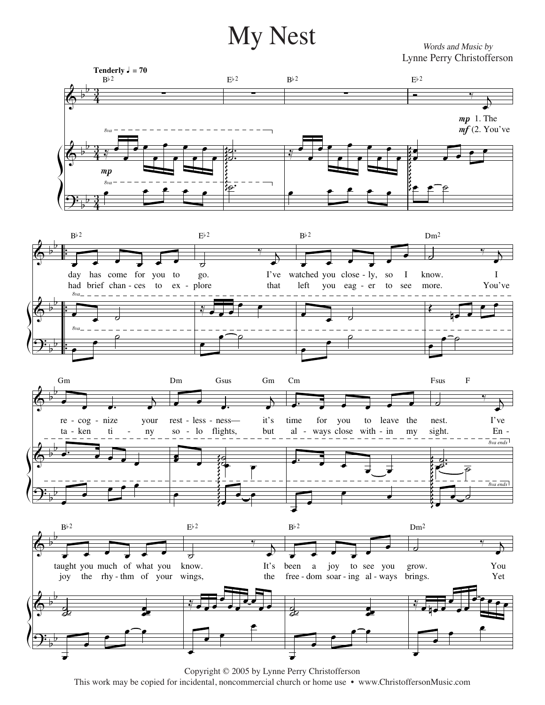## $\bold{My \; Nest}$  West words and Music by

Lynne Perry Christofferson Lynne Perry Christofferson*Words and Music by*



Copyright © 2005 by Lynne Perry Christofferson Copyright © 2005 by Lynne Perry Christofferson This work may be copied for incidental, noncommercial church or home use • www.ChristoffersonMusic.com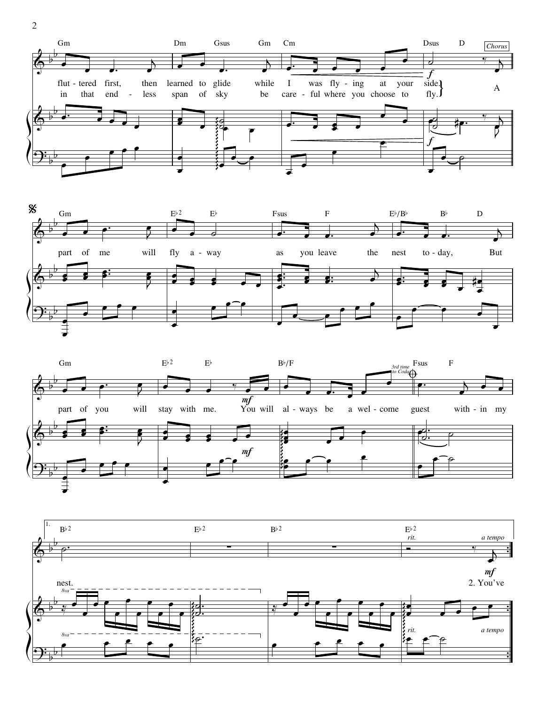







2